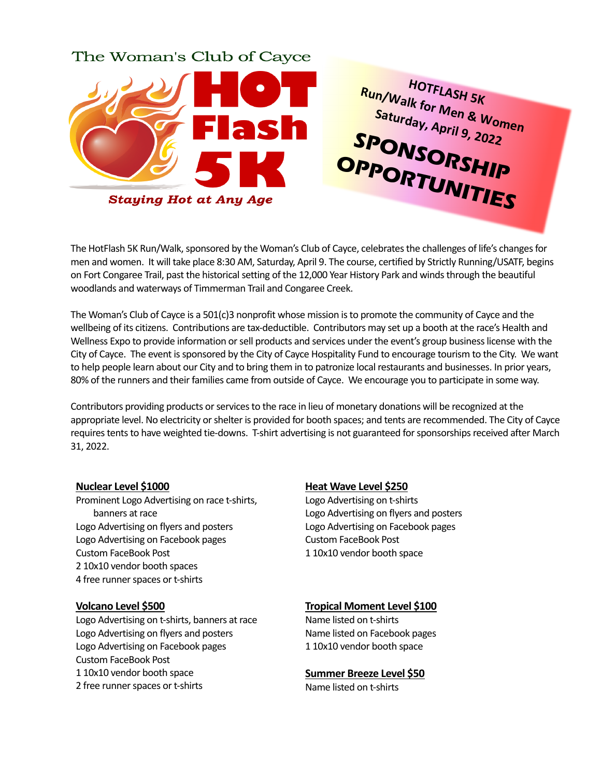# The Woman's Club of Cayce



The HotFlash 5K Run/Walk, sponsored by the Woman's Club of Cayce, celebrates the challenges of life's changes for men and women. It will take place 8:30 AM, Saturday, April 9. The course, certified by Strictly Running/USATF, begins on Fort Congaree Trail, past the historical setting of the 12,000 Year History Park and winds through the beautiful woodlands and waterways of Timmerman Trail and Congaree Creek.

The Woman's Club of Cayce is a 501(c)3 nonprofit whose mission is to promote the community of Cayce and the wellbeing of its citizens. Contributions are tax-deductible. Contributors may set up a booth at the race's Health and Wellness Expo to provide information or sell products and services under the event's group business license with the City of Cayce. The event is sponsored by the City of Cayce Hospitality Fund to encourage tourism to the City. We want to help people learn about our City and to bring them in to patronize local restaurants and businesses. In prior years, 80% of the runners and their families came from outside of Cayce. We encourage you to participate in some way.

Contributors providing products or services to the race in lieu of monetary donations will be recognized at the appropriate level. No electricity or shelter is provided for booth spaces; and tents are recommended. The City of Cayce requires tents to have weighted tie-downs. T-shirt advertising is not guaranteed for sponsorships received after March 31, 2022.

## **Nuclear Level \$1000**

Prominent Logo Advertising on race t-shirts, banners at race Logo Advertising on flyers and posters Logo Advertising on Facebook pages Custom FaceBook Post 2 10x10 vendor booth spaces 4 free runner spaces or t-shirts

## **Volcano Level \$500**

Logo Advertising on t-shirts, banners at race Logo Advertising on flyers and posters Logo Advertising on Facebook pages Custom FaceBook Post 1 10x10 vendor booth space 2 free runner spaces or t-shirts

## **Heat Wave Level \$250**

Logo Advertising on t-shirts Logo Advertising on flyers and posters Logo Advertising on Facebook pages Custom FaceBook Post 1 10x10 vendor booth space

**HOTFLASH 5K** 

#### **Tropical Moment Level \$100**

Name listed on t-shirts Name listed on Facebook pages 1 10x10 vendor booth space

#### **Summer Breeze Level \$50**

Name listed on t-shirts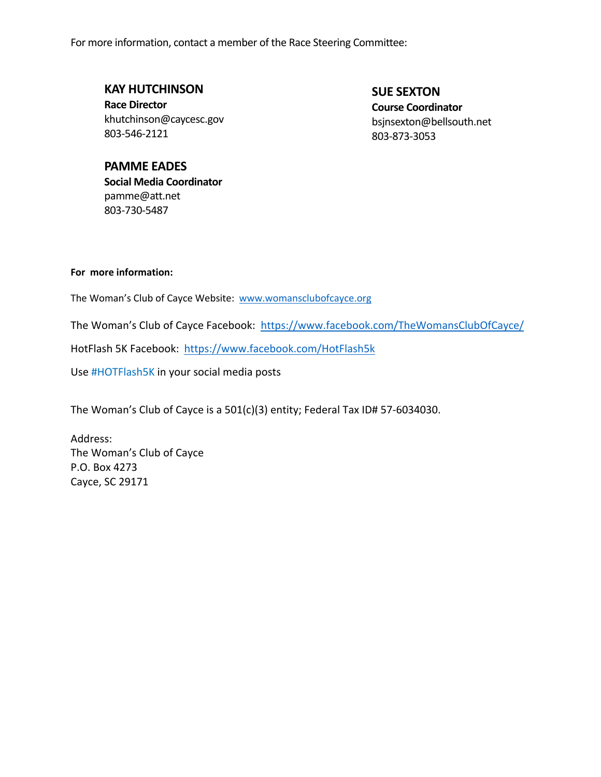For more information, contact a member of the Race Steering Committee:

**KAY HUTCHINSON Race Director** khutchinson@caycesc.gov 803-546-2121

**SUE SEXTON Course Coordinator** bsjnsexton@bellsouth.net 803-873-3053

# **PAMME EADES Social Media Coordinator** pamme@att.net 803-730-5487

**For more information:** 

The Woman's Club of Cayce Website: www.womansclubofcayce.org

The Woman's Club of Cayce Facebook: https://www.facebook.com/TheWomansClubOfCayce/

HotFlash 5K Facebook: https://www.facebook.com/HotFlash5k

Use #HOTFlash5K in your social media posts

The Woman's Club of Cayce is a 501(c)(3) entity; Federal Tax ID# 57-6034030.

Address: The Woman's Club of Cayce P.O. Box 4273 Cayce, SC 29171